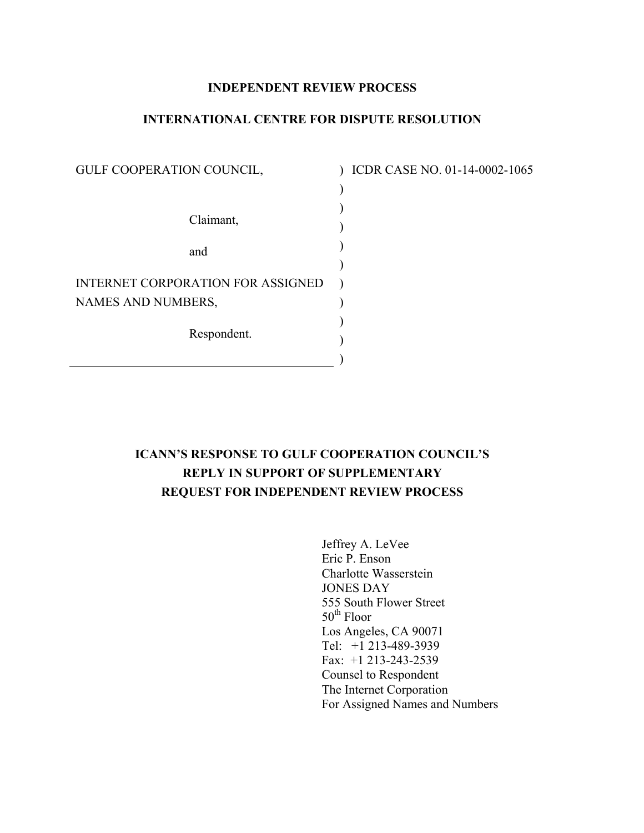# **INDEPENDENT REVIEW PROCESS**

## **INTERNATIONAL CENTRE FOR DISPUTE RESOLUTION**

) ) ) ) ) ) ) ) ) )

| GULF COOPERATION COUNCIL,         |
|-----------------------------------|
|                                   |
| Claimant,                         |
| and                               |
| INTERNET CORPORATION FOR ASSIGNED |
| NAMES AND NUMBERS,                |
| Respondent.                       |

) ICDR CASE NO. 01-14-0002-1065

# **ICANN'S RESPONSE TO GULF COOPERATION COUNCIL'S REPLY IN SUPPORT OF SUPPLEMENTARY REQUEST FOR INDEPENDENT REVIEW PROCESS**

Jeffrey A. LeVee Eric P. Enson Charlotte Wasserstein JONES DAY 555 South Flower Street  $50<sup>th</sup>$  Floor Los Angeles, CA 90071 Tel: +1 213-489-3939 Fax: +1 213-243-2539 Counsel to Respondent The Internet Corporation For Assigned Names and Numbers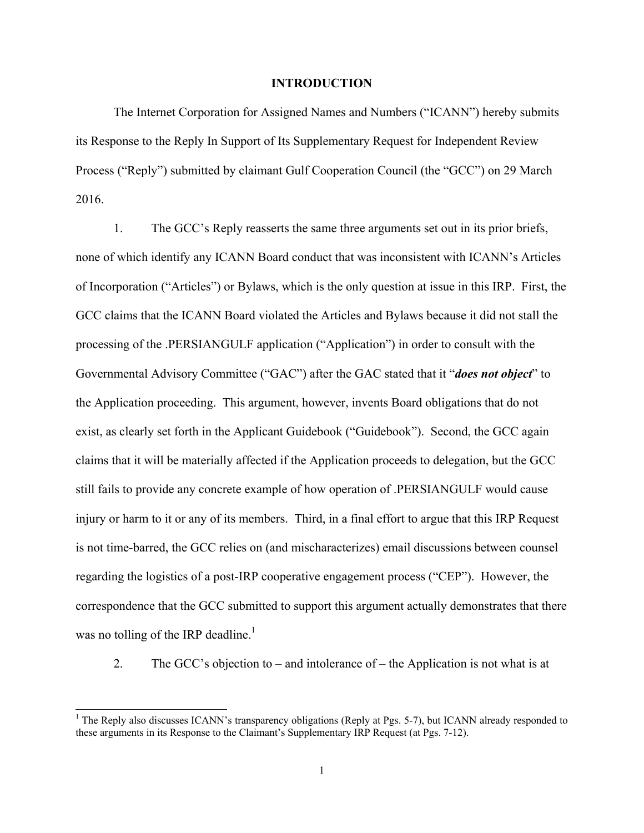#### **INTRODUCTION**

The Internet Corporation for Assigned Names and Numbers ("ICANN") hereby submits its Response to the Reply In Support of Its Supplementary Request for Independent Review Process ("Reply") submitted by claimant Gulf Cooperation Council (the "GCC") on 29 March 2016.

1. The GCC's Reply reasserts the same three arguments set out in its prior briefs, none of which identify any ICANN Board conduct that was inconsistent with ICANN's Articles of Incorporation ("Articles") or Bylaws, which is the only question at issue in this IRP. First, the GCC claims that the ICANN Board violated the Articles and Bylaws because it did not stall the processing of the .PERSIANGULF application ("Application") in order to consult with the Governmental Advisory Committee ("GAC") after the GAC stated that it "*does not object*" to the Application proceeding. This argument, however, invents Board obligations that do not exist, as clearly set forth in the Applicant Guidebook ("Guidebook"). Second, the GCC again claims that it will be materially affected if the Application proceeds to delegation, but the GCC still fails to provide any concrete example of how operation of .PERSIANGULF would cause injury or harm to it or any of its members. Third, in a final effort to argue that this IRP Request is not time-barred, the GCC relies on (and mischaracterizes) email discussions between counsel regarding the logistics of a post-IRP cooperative engagement process ("CEP"). However, the correspondence that the GCC submitted to support this argument actually demonstrates that there was no tolling of the IRP deadline.<sup>1</sup>

2. The GCC's objection to – and intolerance of – the Application is not what is at

<sup>&</sup>lt;sup>1</sup> The Reply also discusses ICANN's transparency obligations (Reply at Pgs. 5-7), but ICANN already responded to these arguments in its Response to the Claimant's Supplementary IRP Request (at Pgs. 7-12).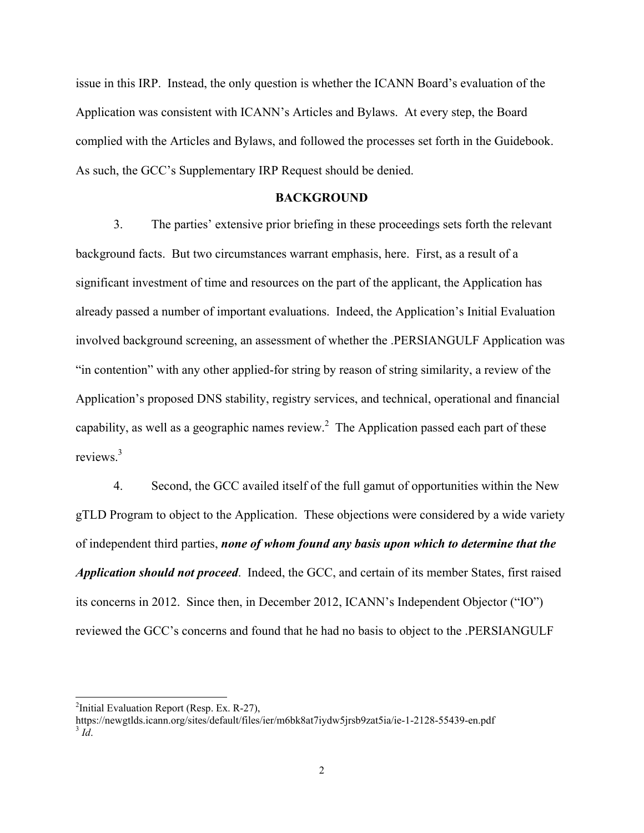issue in this IRP. Instead, the only question is whether the ICANN Board's evaluation of the Application was consistent with ICANN's Articles and Bylaws. At every step, the Board complied with the Articles and Bylaws, and followed the processes set forth in the Guidebook. As such, the GCC's Supplementary IRP Request should be denied.

## **BACKGROUND**

3. The parties' extensive prior briefing in these proceedings sets forth the relevant background facts. But two circumstances warrant emphasis, here. First, as a result of a significant investment of time and resources on the part of the applicant, the Application has already passed a number of important evaluations. Indeed, the Application's Initial Evaluation involved background screening, an assessment of whether the .PERSIANGULF Application was "in contention" with any other applied-for string by reason of string similarity, a review of the Application's proposed DNS stability, registry services, and technical, operational and financial capability, as well as a geographic names review.<sup>2</sup> The Application passed each part of these reviews.3

4. Second, the GCC availed itself of the full gamut of opportunities within the New gTLD Program to object to the Application. These objections were considered by a wide variety of independent third parties, *none of whom found any basis upon which to determine that the Application should not proceed*. Indeed, the GCC, and certain of its member States, first raised its concerns in 2012. Since then, in December 2012, ICANN's Independent Objector ("IO") reviewed the GCC's concerns and found that he had no basis to object to the .PERSIANGULF

 $\overline{\phantom{a}}$ 

https://newgtlds.icann.org/sites/default/files/ier/m6bk8at7iydw5jrsb9zat5ia/ie-1-2128-55439-en.pdf 3 *Id*.

<sup>&</sup>lt;sup>2</sup>Initial Evaluation Report (Resp. Ex. R-27),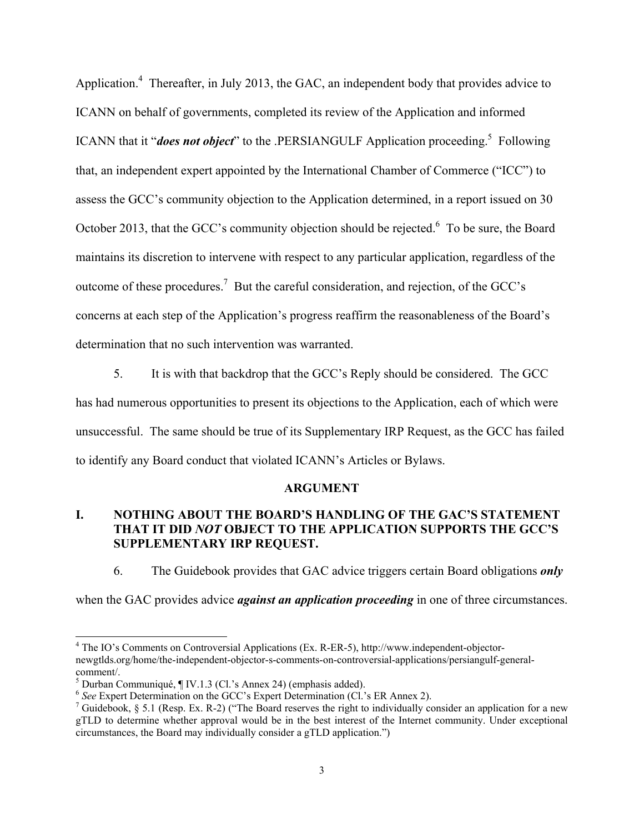Application.<sup>4</sup> Thereafter, in July 2013, the GAC, an independent body that provides advice to ICANN on behalf of governments, completed its review of the Application and informed ICANN that it "*does not object*" to the .PERSIANGULF Application proceeding.<sup>5</sup> Following that, an independent expert appointed by the International Chamber of Commerce ("ICC") to assess the GCC's community objection to the Application determined, in a report issued on 30 October 2013, that the GCC's community objection should be rejected.<sup>6</sup> To be sure, the Board maintains its discretion to intervene with respect to any particular application, regardless of the outcome of these procedures.<sup>7</sup> But the careful consideration, and rejection, of the GCC's concerns at each step of the Application's progress reaffirm the reasonableness of the Board's determination that no such intervention was warranted.

5. It is with that backdrop that the GCC's Reply should be considered. The GCC has had numerous opportunities to present its objections to the Application, each of which were unsuccessful. The same should be true of its Supplementary IRP Request, as the GCC has failed to identify any Board conduct that violated ICANN's Articles or Bylaws.

### **ARGUMENT**

# **I. NOTHING ABOUT THE BOARD'S HANDLING OF THE GAC'S STATEMENT THAT IT DID** *NOT* **OBJECT TO THE APPLICATION SUPPORTS THE GCC'S SUPPLEMENTARY IRP REQUEST.**

6. The Guidebook provides that GAC advice triggers certain Board obligations *only*

when the GAC provides advice *against an application proceeding* in one of three circumstances.

<sup>&</sup>lt;sup>4</sup> The IO's Comments on Controversial Applications (Ex. R-ER-5), http://www.independent-objectornewgtlds.org/home/the-independent-objector-s-comments-on-controversial-applications/persiangulf-generalcomment/.

<sup>5</sup> Durban Communiqué, ¶ IV.1.3 (Cl.'s Annex 24) (emphasis added).

<sup>6</sup> *See* Expert Determination on the GCC's Expert Determination (Cl.'s ER Annex 2). 7

<sup>&</sup>lt;sup>7</sup> Guidebook, § 5.1 (Resp. Ex. R-2) ("The Board reserves the right to individually consider an application for a new gTLD to determine whether approval would be in the best interest of the Internet community. Under exceptional circumstances, the Board may individually consider a gTLD application.")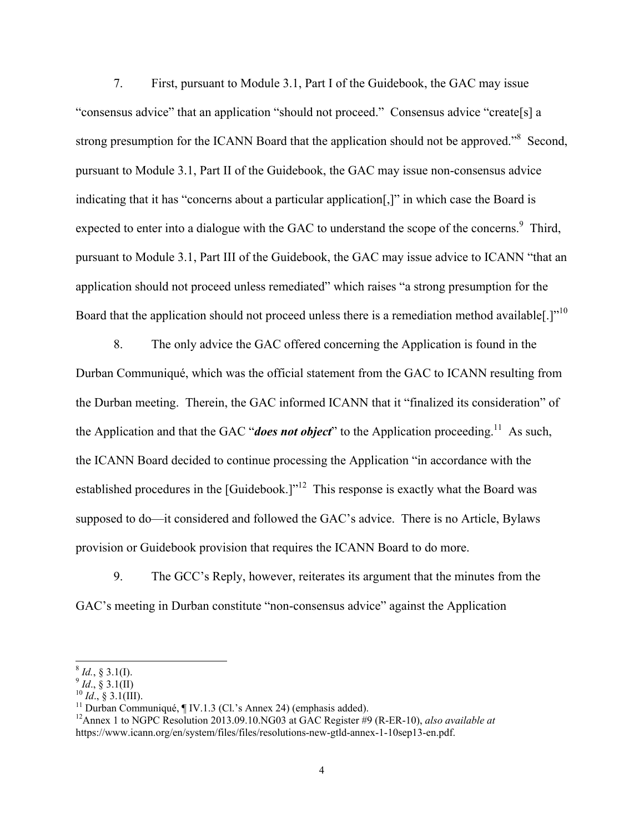7. First, pursuant to Module 3.1, Part I of the Guidebook, the GAC may issue "consensus advice" that an application "should not proceed." Consensus advice "create[s] a strong presumption for the ICANN Board that the application should not be approved."<sup>8</sup> Second, pursuant to Module 3.1, Part II of the Guidebook, the GAC may issue non-consensus advice indicating that it has "concerns about a particular application[,]" in which case the Board is expected to enter into a dialogue with the GAC to understand the scope of the concerns.<sup>9</sup> Third, pursuant to Module 3.1, Part III of the Guidebook, the GAC may issue advice to ICANN "that an application should not proceed unless remediated" which raises "a strong presumption for the Board that the application should not proceed unless there is a remediation method available..]"<sup>10</sup>

8. The only advice the GAC offered concerning the Application is found in the Durban Communiqué, which was the official statement from the GAC to ICANN resulting from the Durban meeting. Therein, the GAC informed ICANN that it "finalized its consideration" of the Application and that the GAC "**does not object**" to the Application proceeding.<sup>11</sup> As such, the ICANN Board decided to continue processing the Application "in accordance with the established procedures in the [Guidebook.]"<sup>12</sup> This response is exactly what the Board was supposed to do—it considered and followed the GAC's advice. There is no Article, Bylaws provision or Guidebook provision that requires the ICANN Board to do more.

9. The GCC's Reply, however, reiterates its argument that the minutes from the GAC's meeting in Durban constitute "non-consensus advice" against the Application

 $8 \text{ Id.}, 8 \text{ 3.1(I).}$ 

<sup>&</sup>lt;sup>9</sup> *Id.*, § 3.1(II)<br><sup>10</sup> *Id.*, § 3.1(III).<br><sup>11</sup> Durban Communiqué, ¶ IV.1.3 (Cl.'s Annex 24) (emphasis added).

<sup>12</sup>Annex 1 to NGPC Resolution 2013.09.10.NG03 at GAC Register #9 (R-ER-10), *also available at* https://www.icann.org/en/system/files/files/resolutions-new-gtld-annex-1-10sep13-en.pdf.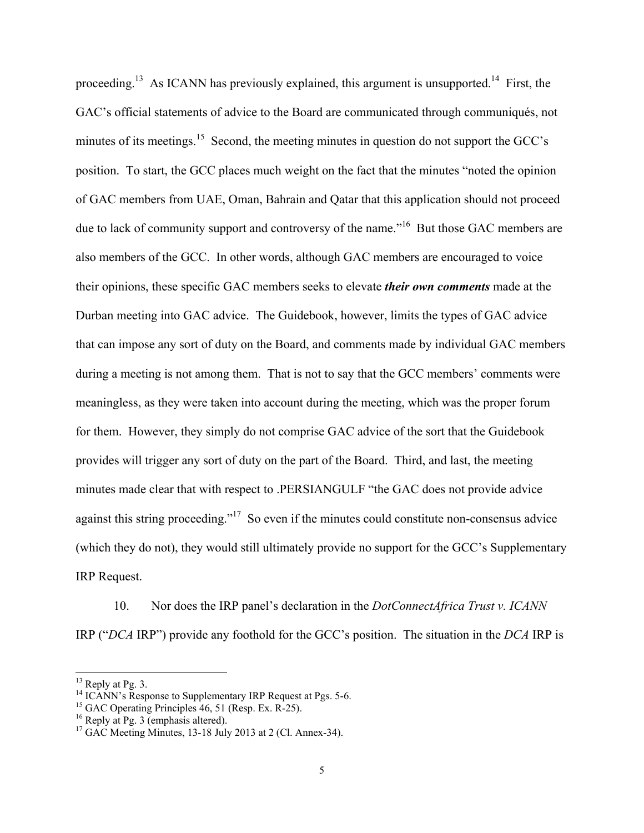proceeding.<sup>13</sup> As ICANN has previously explained, this argument is unsupported.<sup>14</sup> First, the GAC's official statements of advice to the Board are communicated through communiqués, not minutes of its meetings.<sup>15</sup> Second, the meeting minutes in question do not support the GCC's position. To start, the GCC places much weight on the fact that the minutes "noted the opinion of GAC members from UAE, Oman, Bahrain and Qatar that this application should not proceed due to lack of community support and controversy of the name."<sup>16</sup> But those GAC members are also members of the GCC. In other words, although GAC members are encouraged to voice their opinions, these specific GAC members seeks to elevate *their own comments* made at the Durban meeting into GAC advice. The Guidebook, however, limits the types of GAC advice that can impose any sort of duty on the Board, and comments made by individual GAC members during a meeting is not among them. That is not to say that the GCC members' comments were meaningless, as they were taken into account during the meeting, which was the proper forum for them. However, they simply do not comprise GAC advice of the sort that the Guidebook provides will trigger any sort of duty on the part of the Board. Third, and last, the meeting minutes made clear that with respect to .PERSIANGULF "the GAC does not provide advice against this string proceeding."<sup>17</sup> So even if the minutes could constitute non-consensus advice (which they do not), they would still ultimately provide no support for the GCC's Supplementary IRP Request.

10. Nor does the IRP panel's declaration in the *DotConnectAfrica Trust v. ICANN* IRP ("*DCA* IRP") provide any foothold for the GCC's position. The situation in the *DCA* IRP is

 $13$  Reply at Pg. 3.

<sup>&</sup>lt;sup>14</sup> ICANN's Response to Supplementary IRP Request at Pgs. 5-6.

 $^{15}$  GAC Operating Principles 46, 51 (Resp. Ex. R-25).

 $16$  Reply at Pg. 3 (emphasis altered).

 $17$  GAC Meeting Minutes, 13-18 July 2013 at 2 (Cl. Annex-34).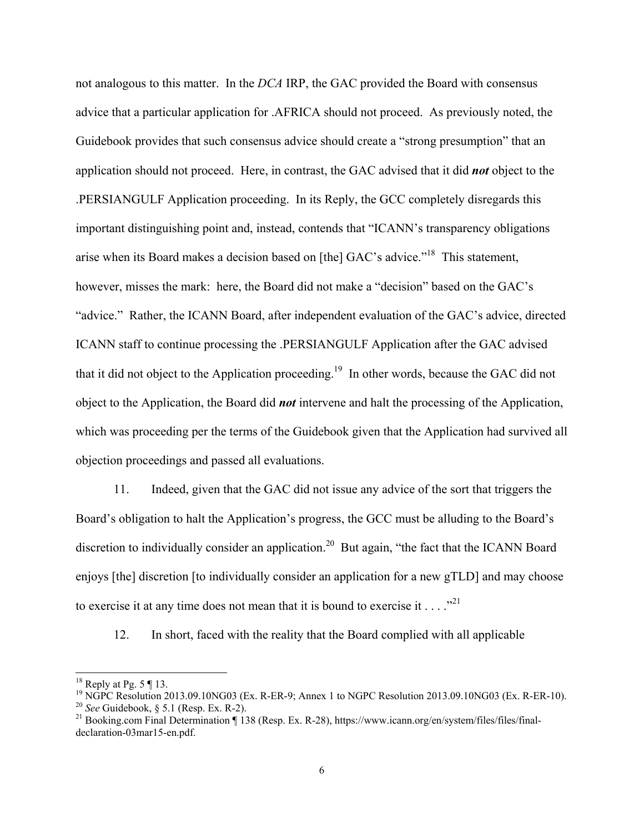not analogous to this matter. In the *DCA* IRP, the GAC provided the Board with consensus advice that a particular application for .AFRICA should not proceed. As previously noted, the Guidebook provides that such consensus advice should create a "strong presumption" that an application should not proceed. Here, in contrast, the GAC advised that it did *not* object to the .PERSIANGULF Application proceeding. In its Reply, the GCC completely disregards this important distinguishing point and, instead, contends that "ICANN's transparency obligations arise when its Board makes a decision based on [the] GAC's advice."18 This statement, however, misses the mark: here, the Board did not make a "decision" based on the GAC's "advice." Rather, the ICANN Board, after independent evaluation of the GAC's advice, directed ICANN staff to continue processing the .PERSIANGULF Application after the GAC advised that it did not object to the Application proceeding.19 In other words, because the GAC did not object to the Application, the Board did *not* intervene and halt the processing of the Application, which was proceeding per the terms of the Guidebook given that the Application had survived all objection proceedings and passed all evaluations.

11. Indeed, given that the GAC did not issue any advice of the sort that triggers the Board's obligation to halt the Application's progress, the GCC must be alluding to the Board's discretion to individually consider an application.<sup>20</sup> But again, "the fact that the ICANN Board enjoys [the] discretion [to individually consider an application for a new gTLD] and may choose to exercise it at any time does not mean that it is bound to exercise it  $\dots$  ..."

12. In short, faced with the reality that the Board complied with all applicable

 $18$  Reply at Pg. 5 ¶ 13.

<sup>&</sup>lt;sup>19</sup> NGPC Resolution 2013.09.10NG03 (Ex. R-ER-9; Annex 1 to NGPC Resolution 2013.09.10NG03 (Ex. R-ER-10).<br><sup>20</sup> See Guidebook, § 5.1 (Resp. Ex. R-2).

<sup>&</sup>lt;sup>21</sup> Booking.com Final Determination ¶ 138 (Resp. Ex. R-28), https://www.icann.org/en/system/files/files/finaldeclaration-03mar15-en.pdf.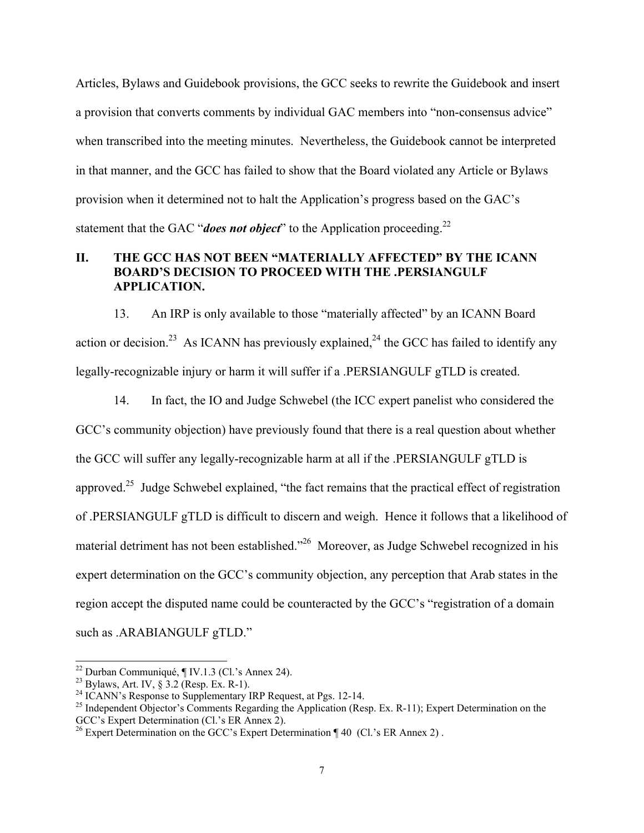Articles, Bylaws and Guidebook provisions, the GCC seeks to rewrite the Guidebook and insert a provision that converts comments by individual GAC members into "non-consensus advice" when transcribed into the meeting minutes. Nevertheless, the Guidebook cannot be interpreted in that manner, and the GCC has failed to show that the Board violated any Article or Bylaws provision when it determined not to halt the Application's progress based on the GAC's statement that the GAC "*does not object*" to the Application proceeding.<sup>22</sup>

## **II. THE GCC HAS NOT BEEN "MATERIALLY AFFECTED" BY THE ICANN BOARD'S DECISION TO PROCEED WITH THE .PERSIANGULF APPLICATION.**

13. An IRP is only available to those "materially affected" by an ICANN Board action or decision.<sup>23</sup> As ICANN has previously explained.<sup>24</sup> the GCC has failed to identify any legally-recognizable injury or harm it will suffer if a .PERSIANGULF gTLD is created.

14. In fact, the IO and Judge Schwebel (the ICC expert panelist who considered the GCC's community objection) have previously found that there is a real question about whether the GCC will suffer any legally-recognizable harm at all if the .PERSIANGULF gTLD is approved.<sup>25</sup> Judge Schwebel explained, "the fact remains that the practical effect of registration of .PERSIANGULF gTLD is difficult to discern and weigh. Hence it follows that a likelihood of material detriment has not been established."<sup>26</sup> Moreover, as Judge Schwebel recognized in his expert determination on the GCC's community objection, any perception that Arab states in the region accept the disputed name could be counteracted by the GCC's "registration of a domain such as .ARABIANGULF gTLD."

 $\overline{\phantom{a}}$ 

 $22$  Durban Communiqué, ¶ IV.1.3 (Cl.'s Annex 24).

<sup>&</sup>lt;sup>23</sup> Bylaws, Art. IV,  $\frac{1}{9}$  3.2 (Resp. Ex. R-1).

 $24$  ICANN's Response to Supplementary IRP Request, at Pgs. 12-14.

<sup>&</sup>lt;sup>25</sup> Independent Objector's Comments Regarding the Application (Resp. Ex. R-11); Expert Determination on the GCC's Expert Determination (Cl.'s ER Annex 2).

<sup>&</sup>lt;sup>26</sup> Expert Determination on the GCC's Expert Determination  $\P$  40 (Cl.'s ER Annex 2).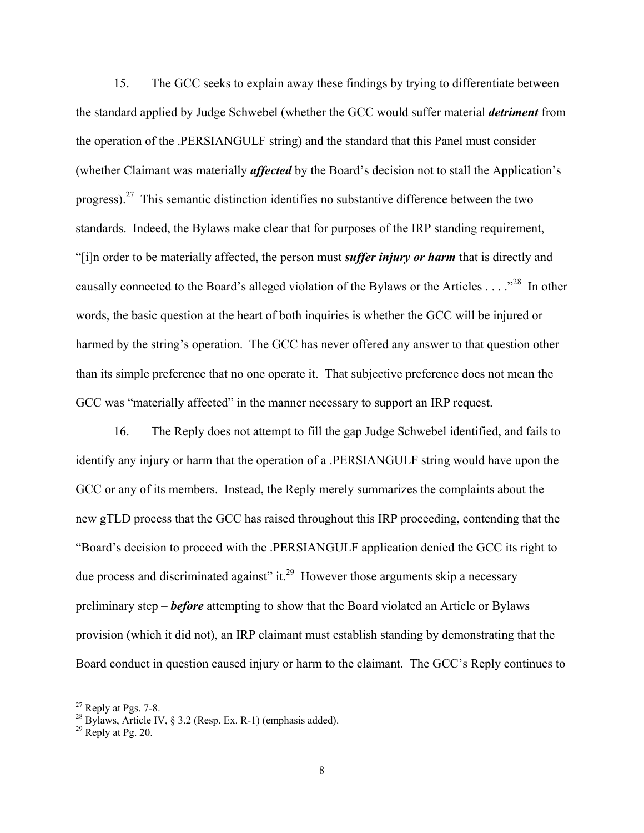15. The GCC seeks to explain away these findings by trying to differentiate between the standard applied by Judge Schwebel (whether the GCC would suffer material *detriment* from the operation of the .PERSIANGULF string) and the standard that this Panel must consider (whether Claimant was materially *affected* by the Board's decision not to stall the Application's progress).<sup>27</sup> This semantic distinction identifies no substantive difference between the two standards. Indeed, the Bylaws make clear that for purposes of the IRP standing requirement, "[i]n order to be materially affected, the person must *suffer injury or harm* that is directly and causally connected to the Board's alleged violation of the Bylaws or the Articles . . . ."<sup>28</sup> In other words, the basic question at the heart of both inquiries is whether the GCC will be injured or harmed by the string's operation. The GCC has never offered any answer to that question other than its simple preference that no one operate it. That subjective preference does not mean the GCC was "materially affected" in the manner necessary to support an IRP request.

16. The Reply does not attempt to fill the gap Judge Schwebel identified, and fails to identify any injury or harm that the operation of a .PERSIANGULF string would have upon the GCC or any of its members. Instead, the Reply merely summarizes the complaints about the new gTLD process that the GCC has raised throughout this IRP proceeding, contending that the "Board's decision to proceed with the .PERSIANGULF application denied the GCC its right to due process and discriminated against" it.<sup>29</sup> However those arguments skip a necessary preliminary step – *before* attempting to show that the Board violated an Article or Bylaws provision (which it did not), an IRP claimant must establish standing by demonstrating that the Board conduct in question caused injury or harm to the claimant. The GCC's Reply continues to

 $\overline{\phantom{a}}$ 

 $27$  Reply at Pgs. 7-8.

 $^{28}$  Bylaws, Article IV, § 3.2 (Resp. Ex. R-1) (emphasis added).

 $^{29}$  Reply at Pg. 20.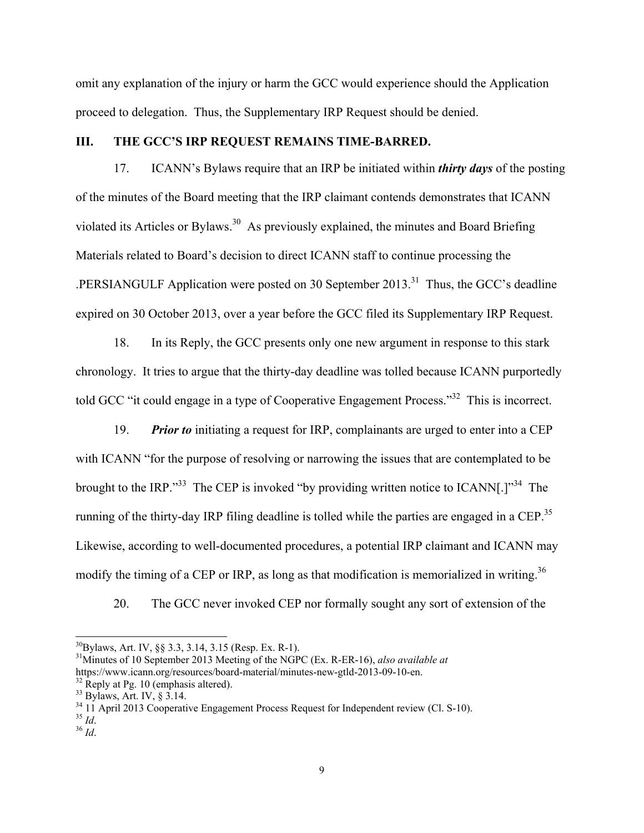omit any explanation of the injury or harm the GCC would experience should the Application proceed to delegation. Thus, the Supplementary IRP Request should be denied.

## **III. THE GCC'S IRP REQUEST REMAINS TIME-BARRED.**

17. ICANN's Bylaws require that an IRP be initiated within *thirty days* of the posting of the minutes of the Board meeting that the IRP claimant contends demonstrates that ICANN violated its Articles or Bylaws.<sup>30</sup> As previously explained, the minutes and Board Briefing Materials related to Board's decision to direct ICANN staff to continue processing the .PERSIANGULF Application were posted on 30 September 2013.31 Thus, the GCC's deadline expired on 30 October 2013, over a year before the GCC filed its Supplementary IRP Request.

18. In its Reply, the GCC presents only one new argument in response to this stark chronology. It tries to argue that the thirty-day deadline was tolled because ICANN purportedly told GCC "it could engage in a type of Cooperative Engagement Process."32 This is incorrect.

19. *Prior to* initiating a request for IRP, complainants are urged to enter into a CEP with ICANN "for the purpose of resolving or narrowing the issues that are contemplated to be brought to the IRP."<sup>33</sup> The CEP is invoked "by providing written notice to ICANN[.]"<sup>34</sup> The running of the thirty-day IRP filing deadline is tolled while the parties are engaged in a CEP.<sup>35</sup> Likewise, according to well-documented procedures, a potential IRP claimant and ICANN may modify the timing of a CEP or IRP, as long as that modification is memorialized in writing.<sup>36</sup>

20. The GCC never invoked CEP nor formally sought any sort of extension of the

 $^{30}$ Bylaws, Art. IV, §§ 3.3, 3.14, 3.15 (Resp. Ex. R-1).

<sup>31</sup>Minutes of 10 September 2013 Meeting of the NGPC (Ex. R-ER-16), *also available at*  https://www.icann.org/resources/board-material/minutes-new-gtld-2013-09-10-en.<br><sup>32</sup> Reply at Pg. 10 (emphasis altered).

<sup>33</sup> Bylaws, Art. IV, § 3.14.

<sup>&</sup>lt;sup>34</sup> 11 April 2013 Cooperative Engagement Process Request for Independent review (Cl. S-10).<br><sup>35</sup> Id.

<sup>35</sup> *Id*. 36 *Id*.